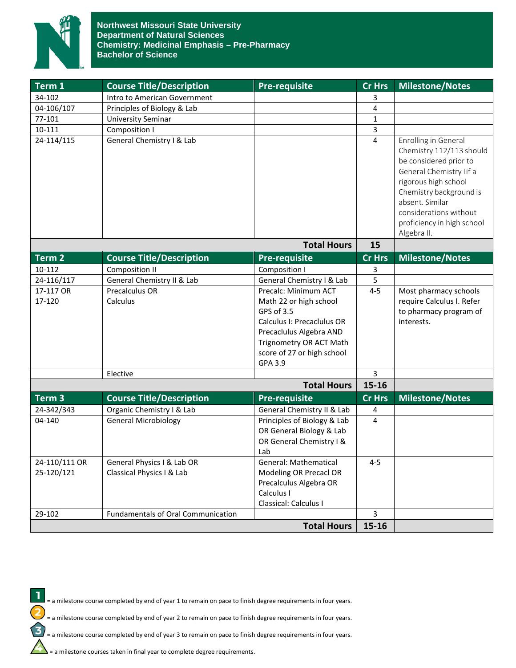

| Term 1             | <b>Course Title/Description</b>           | <b>Pre-requisite</b>        | <b>Cr Hrs</b>         | <b>Milestone/Notes</b>                                                                                                                                                                                                                                     |
|--------------------|-------------------------------------------|-----------------------------|-----------------------|------------------------------------------------------------------------------------------------------------------------------------------------------------------------------------------------------------------------------------------------------------|
| 34-102             | Intro to American Government              |                             | 3                     |                                                                                                                                                                                                                                                            |
| 04-106/107         | Principles of Biology & Lab               |                             | 4                     |                                                                                                                                                                                                                                                            |
| 77-101             | <b>University Seminar</b>                 |                             | 1                     |                                                                                                                                                                                                                                                            |
| 10-111             | Composition I                             |                             | 3                     |                                                                                                                                                                                                                                                            |
| 24-114/115         | General Chemistry I & Lab                 |                             | 4                     | <b>Enrolling in General</b><br>Chemistry 112/113 should<br>be considered prior to<br>General Chemistry I if a<br>rigorous high school<br>Chemistry background is<br>absent. Similar<br>considerations without<br>proficiency in high school<br>Algebra II. |
|                    |                                           | <b>Total Hours</b>          | 15                    |                                                                                                                                                                                                                                                            |
| Term <sub>2</sub>  | <b>Course Title/Description</b>           | <b>Pre-requisite</b>        | <b>Cr Hrs</b>         | <b>Milestone/Notes</b>                                                                                                                                                                                                                                     |
| 10-112             | <b>Composition II</b>                     | Composition I               | 3                     |                                                                                                                                                                                                                                                            |
| 24-116/117         | General Chemistry II & Lab                | General Chemistry I & Lab   | 5                     |                                                                                                                                                                                                                                                            |
| 17-117 OR          | Precalculus OR                            | Precalc: Minimum ACT        | $4 - 5$               | Most pharmacy schools                                                                                                                                                                                                                                      |
| 17-120             | Calculus                                  | Math 22 or high school      |                       | require Calculus I. Refer                                                                                                                                                                                                                                  |
|                    |                                           | GPS of 3.5                  |                       | to pharmacy program of                                                                                                                                                                                                                                     |
|                    |                                           | Calculus I: Precaclulus OR  |                       | interests.                                                                                                                                                                                                                                                 |
|                    |                                           | Precaclulus Algebra AND     |                       |                                                                                                                                                                                                                                                            |
|                    |                                           | Trignometry OR ACT Math     |                       |                                                                                                                                                                                                                                                            |
|                    |                                           | score of 27 or high school  |                       |                                                                                                                                                                                                                                                            |
|                    |                                           | GPA 3.9                     |                       |                                                                                                                                                                                                                                                            |
|                    | Elective                                  |                             | 3                     |                                                                                                                                                                                                                                                            |
|                    |                                           | <b>Total Hours</b>          | 15-16                 |                                                                                                                                                                                                                                                            |
| Term <sub>3</sub>  | <b>Course Title/Description</b>           | <b>Pre-requisite</b>        | <b>Cr Hrs</b>         | <b>Milestone/Notes</b>                                                                                                                                                                                                                                     |
| 24-342/343         | Organic Chemistry I & Lab                 | General Chemistry II & Lab  | 4                     |                                                                                                                                                                                                                                                            |
| 04-140             | <b>General Microbiology</b>               | Principles of Biology & Lab | 4                     |                                                                                                                                                                                                                                                            |
|                    |                                           | OR General Biology & Lab    |                       |                                                                                                                                                                                                                                                            |
|                    |                                           | OR General Chemistry I &    |                       |                                                                                                                                                                                                                                                            |
|                    |                                           | Lab                         |                       |                                                                                                                                                                                                                                                            |
| 24-110/111 OR      | General Physics I & Lab OR                | General: Mathematical       | $4 - 5$               |                                                                                                                                                                                                                                                            |
| 25-120/121         | Classical Physics I & Lab                 | Modeling OR Precacl OR      |                       |                                                                                                                                                                                                                                                            |
|                    |                                           | Precalculus Algebra OR      |                       |                                                                                                                                                                                                                                                            |
|                    |                                           | Calculus I                  |                       |                                                                                                                                                                                                                                                            |
|                    |                                           | Classical: Calculus I       |                       |                                                                                                                                                                                                                                                            |
| 29-102             | <b>Fundamentals of Oral Communication</b> |                             | $\mathbf{3}$<br>15-16 |                                                                                                                                                                                                                                                            |
| <b>Total Hours</b> |                                           |                             |                       |                                                                                                                                                                                                                                                            |



= a milestone course completed by end of year 2 to remain on pace to finish degree requirements in four years.

= a milestone course completed by end of year 3 to remain on pace to finish degree requirements in four years.

 $\sum$  = a milestone courses taken in final year to complete degree requirements.

2

 $\mathbf{E}$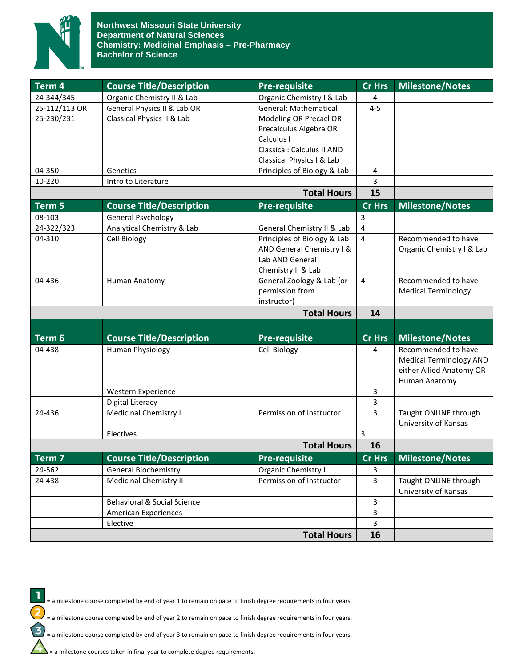

| Term $4$           | <b>Course Title/Description</b> | <b>Pre-requisite</b>         | <b>Cr Hrs</b>           | <b>Milestone/Notes</b>                        |
|--------------------|---------------------------------|------------------------------|-------------------------|-----------------------------------------------|
| 24-344/345         | Organic Chemistry II & Lab      | Organic Chemistry I & Lab    | 4                       |                                               |
| 25-112/113 OR      | General Physics II & Lab OR     | <b>General: Mathematical</b> | $4 - 5$                 |                                               |
| 25-230/231         | Classical Physics II & Lab      | Modeling OR Precacl OR       |                         |                                               |
|                    |                                 | Precalculus Algebra OR       |                         |                                               |
|                    |                                 | Calculus I                   |                         |                                               |
|                    |                                 | Classical: Calculus II AND   |                         |                                               |
|                    |                                 | Classical Physics I & Lab    |                         |                                               |
| 04-350             | Genetics                        | Principles of Biology & Lab  | 4                       |                                               |
| 10-220             | Intro to Literature             |                              | 3                       |                                               |
| <b>Total Hours</b> |                                 |                              | 15                      |                                               |
| Term 5             | <b>Course Title/Description</b> | <b>Pre-requisite</b>         | <b>Cr Hrs</b>           | <b>Milestone/Notes</b>                        |
| 08-103             | General Psychology              |                              | 3                       |                                               |
| 24-322/323         | Analytical Chemistry & Lab      | General Chemistry II & Lab   | $\overline{\mathbf{4}}$ |                                               |
| 04-310             | Cell Biology                    | Principles of Biology & Lab  | $\overline{4}$          | Recommended to have                           |
|                    |                                 | AND General Chemistry I &    |                         | Organic Chemistry I & Lab                     |
|                    |                                 | Lab AND General              |                         |                                               |
|                    |                                 | Chemistry II & Lab           |                         |                                               |
| 04-436             | Human Anatomy                   | General Zoology & Lab (or    | $\overline{4}$          | Recommended to have                           |
|                    |                                 | permission from              |                         | <b>Medical Terminology</b>                    |
|                    |                                 | instructor)                  |                         |                                               |
|                    |                                 | <b>Total Hours</b>           | 14                      |                                               |
|                    |                                 |                              |                         |                                               |
| Term <sub>6</sub>  | <b>Course Title/Description</b> | <b>Pre-requisite</b>         | <b>Cr Hrs</b>           | <b>Milestone/Notes</b>                        |
| 04-438             | Human Physiology                | Cell Biology                 | 4                       | Recommended to have                           |
|                    |                                 |                              |                         | <b>Medical Terminology AND</b>                |
|                    |                                 |                              |                         | either Allied Anatomy OR                      |
|                    |                                 |                              |                         | Human Anatomy                                 |
|                    | Western Experience              |                              | 3                       |                                               |
|                    | Digital Literacy                |                              | $\mathbf{3}$            |                                               |
| 24-436             | <b>Medicinal Chemistry I</b>    | Permission of Instructor     | $\overline{3}$          | Taught ONLINE through<br>University of Kansas |
|                    | Electives                       |                              | $\overline{3}$          |                                               |
|                    |                                 | <b>Total Hours</b>           | 16                      |                                               |
| Term <sub>7</sub>  | <b>Course Title/Description</b> | <b>Pre-requisite</b>         | Cr Hrs                  | <b>Milestone/Notes</b>                        |
| 24-562             | <b>General Biochemistry</b>     | Organic Chemistry I          | 3                       |                                               |
| 24-438             | <b>Medicinal Chemistry II</b>   | Permission of Instructor     | $\overline{3}$          | Taught ONLINE through                         |
|                    |                                 |                              |                         | University of Kansas                          |
|                    | Behavioral & Social Science     |                              | $\mathbf{3}$            |                                               |
|                    | <b>American Experiences</b>     |                              | $\mathbf{3}$            |                                               |
|                    | Elective                        |                              | 3                       |                                               |
|                    |                                 | <b>Total Hours</b>           | 16                      |                                               |



= a milestone course completed by end of year 1 to remain on pace to finish degree requirements in four years.

= a milestone course completed by end of year 2 to remain on pace to finish degree requirements in four years.

= a milestone course completed by end of year 3 to remain on pace to finish degree requirements in four years.

 $\sum$  = a milestone courses taken in final year to complete degree requirements.